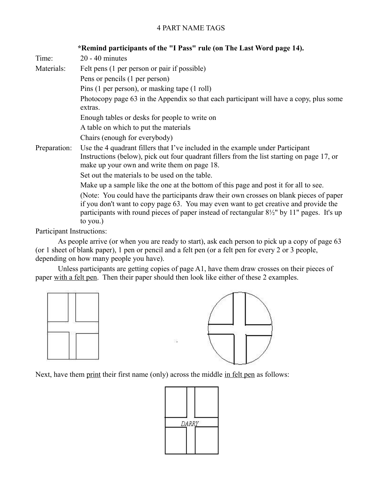## 4 PART NAME TAGS

|              | *Remind participants of the "I Pass" rule (on The Last Word page 14).                                                                                                                                                                                                                               |
|--------------|-----------------------------------------------------------------------------------------------------------------------------------------------------------------------------------------------------------------------------------------------------------------------------------------------------|
| Time:        | $20 - 40$ minutes                                                                                                                                                                                                                                                                                   |
| Materials:   | Felt pens (1 per person or pair if possible)                                                                                                                                                                                                                                                        |
|              | Pens or pencils (1 per person)                                                                                                                                                                                                                                                                      |
|              | Pins (1 per person), or masking tape (1 roll)                                                                                                                                                                                                                                                       |
|              | Photocopy page 63 in the Appendix so that each participant will have a copy, plus some<br>extras.                                                                                                                                                                                                   |
|              | Enough tables or desks for people to write on                                                                                                                                                                                                                                                       |
|              | A table on which to put the materials                                                                                                                                                                                                                                                               |
|              | Chairs (enough for everybody)                                                                                                                                                                                                                                                                       |
| Preparation: | Use the 4 quadrant fillers that I've included in the example under Participant<br>Instructions (below), pick out four quadrant fillers from the list starting on page 17, or<br>make up your own and write them on page 18.                                                                         |
|              | Set out the materials to be used on the table.                                                                                                                                                                                                                                                      |
|              | Make up a sample like the one at the bottom of this page and post it for all to see.                                                                                                                                                                                                                |
|              | (Note: You could have the participants draw their own crosses on blank pieces of paper<br>if you don't want to copy page 63. You may even want to get creative and provide the<br>participants with round pieces of paper instead of rectangular $8\frac{1}{2}$ " by 11" pages. It's up<br>to you.) |

Participant Instructions:

As people arrive (or when you are ready to start), ask each person to pick up a copy of page 63 (or 1 sheet of blank paper), 1 pen or pencil and a felt pen (or a felt pen for every 2 or 3 people, depending on how many people you have).

Unless participants are getting copies of page A1, have them draw crosses on their pieces of paper with a felt pen. Then their paper should then look like either of these 2 examples.





Next, have them print their first name (only) across the middle in felt pen as follows:

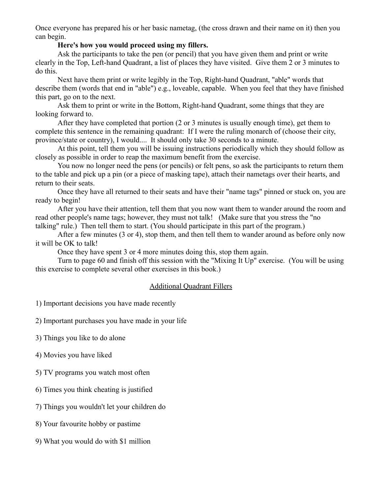Once everyone has prepared his or her basic nametag, (the cross drawn and their name on it) then you can begin.

## **Here's how you would proceed using my fillers.**

Ask the participants to take the pen (or pencil) that you have given them and print or write clearly in the Top, Left-hand Quadrant, a list of places they have visited. Give them 2 or 3 minutes to do this.

Next have them print or write legibly in the Top, Right-hand Quadrant, "able" words that describe them (words that end in "able") e.g., loveable, capable. When you feel that they have finished this part, go on to the next.

Ask them to print or write in the Bottom, Right-hand Quadrant, some things that they are looking forward to.

After they have completed that portion (2 or 3 minutes is usually enough time), get them to complete this sentence in the remaining quadrant: If I were the ruling monarch of (choose their city, province/state or country), I would.... It should only take 30 seconds to a minute.

At this point, tell them you will be issuing instructions periodically which they should follow as closely as possible in order to reap the maximum benefit from the exercise.

You now no longer need the pens (or pencils) or felt pens, so ask the participants to return them to the table and pick up a pin (or a piece of masking tape), attach their nametags over their hearts, and return to their seats.

Once they have all returned to their seats and have their "name tags" pinned or stuck on, you are ready to begin!

After you have their attention, tell them that you now want them to wander around the room and read other people's name tags; however, they must not talk! (Make sure that you stress the "no talking" rule.) Then tell them to start. (You should participate in this part of the program.)

After a few minutes (3 or 4), stop them, and then tell them to wander around as before only now it will be OK to talk!

Once they have spent 3 or 4 more minutes doing this, stop them again.

Turn to page 60 and finish off this session with the "Mixing It Up" exercise. (You will be using this exercise to complete several other exercises in this book.)

## Additional Quadrant Fillers

1) Important decisions you have made recently

2) Important purchases you have made in your life

3) Things you like to do alone

4) Movies you have liked

5) TV programs you watch most often

6) Times you think cheating is justified

7) Things you wouldn't let your children do

8) Your favourite hobby or pastime

9) What you would do with \$1 million